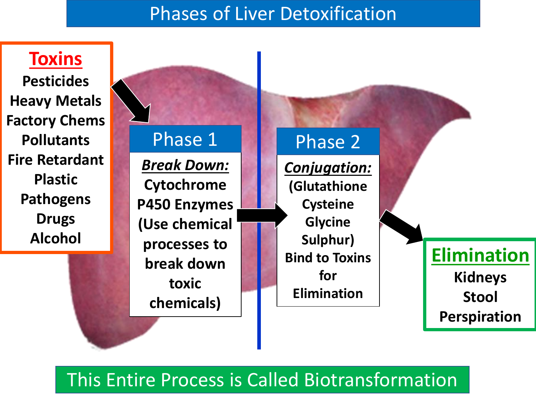## Phases of Liver Detoxification



## This Entire Process is Called Biotransformation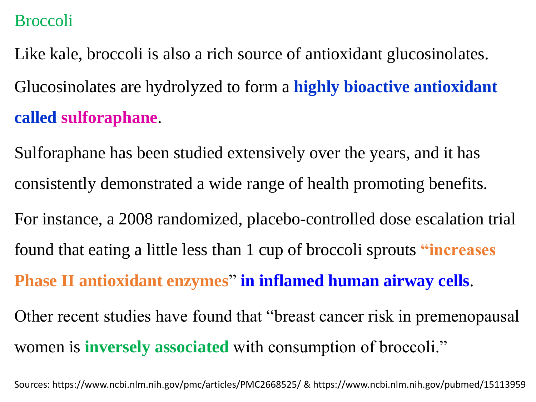## Broccoli

Like kale, broccoli is also a rich source of antioxidant glucosinolates. Glucosinolates are hydrolyzed to form a **highly bioactive antioxidant called sulforaphane**.

Sulforaphane has been studied extensively over the years, and it has consistently demonstrated a wide range of health promoting benefits.

For instance, a 2008 randomized, placebo-controlled dose escalation trial found that eating a little less than 1 cup of broccoli sprouts **"increases Phase II antioxidant enzymes**" **in inflamed human airway cells**. Other recent studies have found that "breast cancer risk in premenopausal

women is **inversely associated** with consumption of broccoli."

Sources: https://www.ncbi.nlm.nih.gov/pmc/articles/PMC2668525/ & https://www.ncbi.nlm.nih.gov/pubmed/15113959